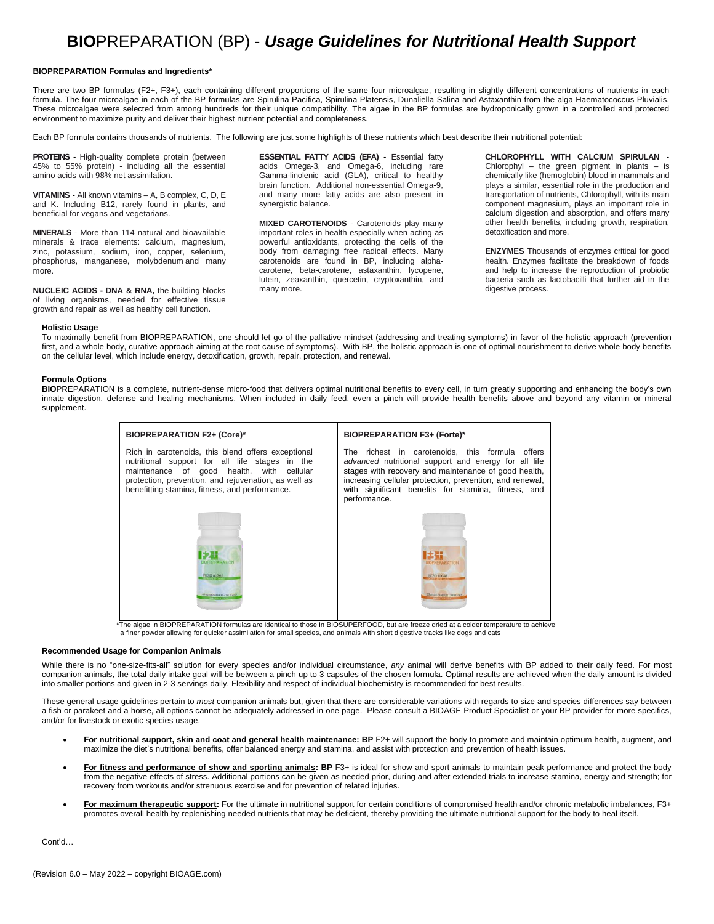# **BIO**PREPARATION (BP) - *Usage Guidelines for Nutritional Health Support*

# **BIOPREPARATION Formulas and Ingredients\***

There are two BP formulas (F2+, F3+), each containing different proportions of the same four microalgae, resulting in slightly different concentrations of nutrients in each formula. The four microalgae in each of the BP formulas are Spirulina Pacifica, Spirulina Platensis, Dunaliella Salina and Astaxanthin from the alga Haematococcus Pluvialis. These microalgae were selected from among hundreds for their unique compatibility. The algae in the BP formulas are hydroponically grown in a controlled and protected environment to maximize purity and deliver their highest nutrient potential and completeness.

Each BP formula contains thousands of nutrients. The following are just some highlights of these nutrients which best describe their nutritional potential:

**PROTEINS** - High-quality complete protein (between 45% to 55% protein) - including all the essential amino acids with 98% net assimilation.

**VITAMINS** - All known vitamins – A, B complex, C, D, E and K. Including B12, rarely found in plants, and beneficial for vegans and vegetarians.

**MINERALS** - More than 114 natural and bioavailable minerals & trace elements: calcium, magnesium, zinc, potassium, sodium, iron, copper, selenium, phosphorus, manganese, molybdenum and many more.

**NUCLEIC ACIDS - DNA & RNA,** the building blocks of living organisms, needed for effective tissue growth and repair as well as healthy cell function.

**ESSENTIAL FATTY ACIDS (EFA)** - Essential fatty acids Omega-3, and Omega-6, including rare Gamma-linolenic acid (GLA), critical to healthy brain function. Additional non-essential Omega-9, and many more fatty acids are also present in synergistic balance.

**MIXED CAROTENOIDS** - Carotenoids play many important roles in health especially when acting as powerful antioxidants, protecting the cells of the body from damaging free radical effects. Many carotenoids are found in BP, including alphacarotene, beta-carotene, astaxanthin, lycopene, lutein, zeaxanthin, quercetin, cryptoxanthin, and many more.

**CHLOROPHYLL WITH CALCIUM SPIRULAN** - Chlorophyl – the green pigment in plants – is chemically like (hemoglobin) blood in mammals and plays a similar, essential role in the production and transportation of nutrients, Chlorophyll, with its main component magnesium, plays an important role in calcium digestion and absorption, and offers many other health benefits, including growth, respiration, detoxification and more.

**ENZYMES** Thousands of enzymes critical for good health. Enzymes facilitate the breakdown of foods and help to increase the reproduction of probiotic bacteria such as lactobacilli that further aid in the digestive process.

## **Holistic Usage**

To maximally benefit from BIOPREPARATION, one should let go of the palliative mindset (addressing and treating symptoms) in favor of the holistic approach (prevention first, and a whole body, curative approach aiming at the root cause of symptoms). With BP, the holistic approach is one of optimal nourishment to derive whole body benefits on the cellular level, which include energy, detoxification, growth, repair, protection, and renewal.

## **Formula Options**

**BIO**PREPARATION is a complete, nutrient-dense micro-food that delivers optimal nutritional benefits to every cell, in turn greatly supporting and enhancing the body's own innate digestion, defense and healing mechanisms. When included in daily feed, even a pinch will provide health benefits above and beyond any vitamin or mineral supplement.

| <b>BIOPREPARATION F2+ (Core)*</b>                                                                                                                                                                                                                           |  | <b>BIOPREPARATION F3+ (Forte)*</b>                                                                                                                                                                                                                                                                 |
|-------------------------------------------------------------------------------------------------------------------------------------------------------------------------------------------------------------------------------------------------------------|--|----------------------------------------------------------------------------------------------------------------------------------------------------------------------------------------------------------------------------------------------------------------------------------------------------|
| Rich in carotenoids, this blend offers exceptional<br>nutritional support for all life stages in the<br>maintenance of good health, with cellular<br>protection, prevention, and rejuvenation, as well as<br>benefitting stamina, fitness, and performance. |  | The richest in carotenoids, this formula offers<br>advanced nutritional support and energy for all life<br>stages with recovery and maintenance of good health,<br>increasing cellular protection, prevention, and renewal,<br>with significant benefits for stamina, fitness, and<br>performance. |
| MICRO ALGAE<br><b>60 VISCOS CAPISOLES - 200 MG EAST</b>                                                                                                                                                                                                     |  | <b>MICRO ALGAE</b><br><b>10 WGE CAPEREL-250 HGTACK</b>                                                                                                                                                                                                                                             |

\*The algae in BIOPREPARATION formulas are identical to those in BIOSUPERFOOD, but are freeze dried at a colder temperature to achieve a finer powder allowing for quicker assimilation for small species, and animals with short digestive tracks like dogs and cats

#### **Recommended Usage for Companion Animals**

While there is no "one-size-fits-all" solution for every species and/or individual circumstance, *any* animal will derive benefits with BP added to their daily feed. For most companion animals, the total daily intake goal will be between a pinch up to 3 capsules of the chosen formula. Optimal results are achieved when the daily amount is divided into smaller portions and given in 2-3 servings daily. Flexibility and respect of individual biochemistry is recommended for best results.

These general usage guidelines pertain to *most* companion animals but, given that there are considerable variations with regards to size and species differences say between a fish or parakeet and a horse, all options cannot be adequately addressed in one page. Please consult a BIOAGE Product Specialist or your BP provider for more specifics, and/or for livestock or exotic species usage.

- **For nutritional support, skin and coat and general health maintenance: BP** F2+ will support the body to promote and maintain optimum health, augment, and maximize the diet's nutritional benefits, offer balanced energy and stamina, and assist with protection and prevention of health issues.
- **For fitness and performance of show and sporting animals: BP** F3+ is ideal for show and sport animals to maintain peak performance and protect the body from the negative effects of stress. Additional portions can be given as needed prior, during and after extended trials to increase stamina, energy and strength; for recovery from workouts and/or strenuous exercise and for prevention of related injuries.
- **For maximum therapeutic support:** For the ultimate in nutritional support for certain conditions of compromised health and/or chronic metabolic imbalances, F3+ promotes overall health by replenishing needed nutrients that may be deficient, thereby providing the ultimate nutritional support for the body to heal itself.

Cont'd…